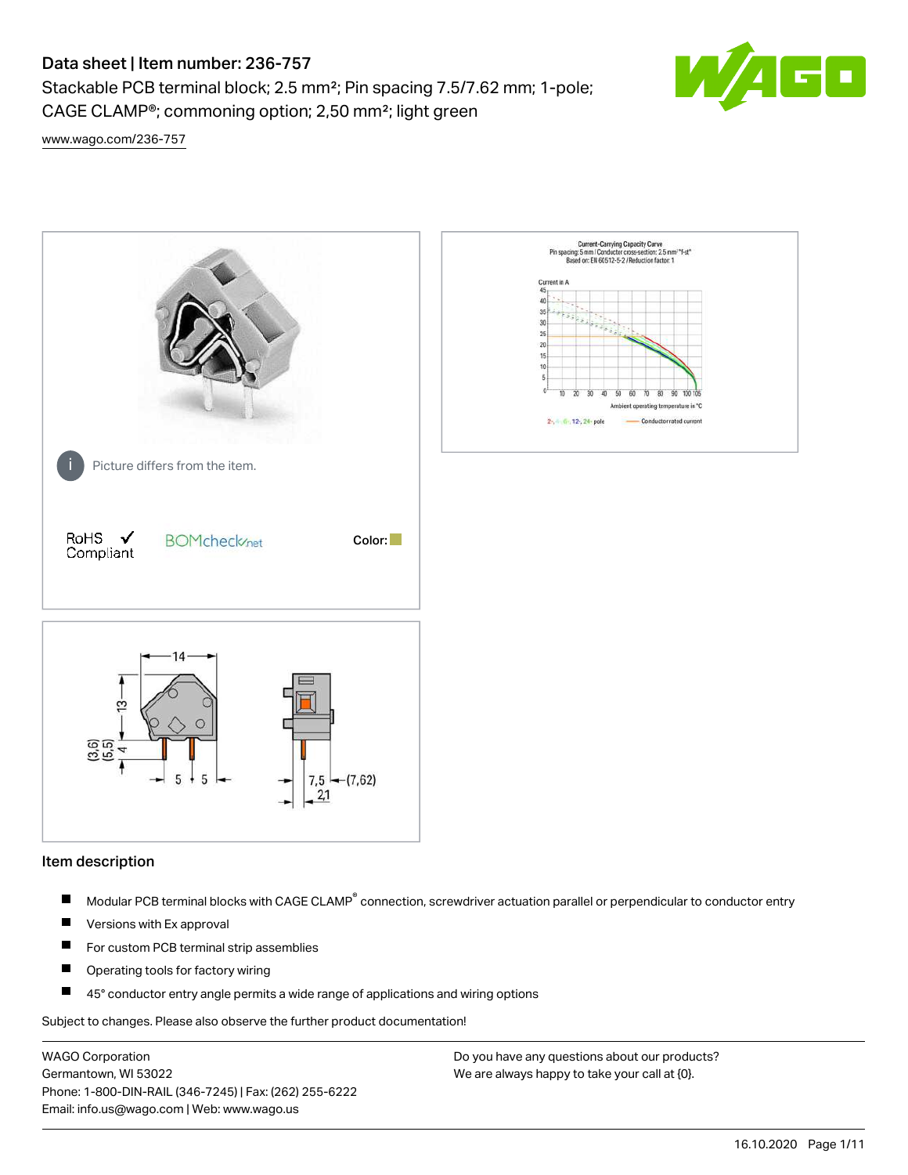# Data sheet | Item number: 236-757

Stackable PCB terminal block; 2.5 mm²; Pin spacing 7.5/7.62 mm; 1-pole; CAGE CLAMP®; commoning option; 2,50 mm²; light green



[www.wago.com/236-757](http://www.wago.com/236-757)



#### Item description

- Modular PCB terminal blocks with CAGE CLAMP<sup>®</sup> connection, screwdriver actuation parallel or perpendicular to conductor entry П
- $\blacksquare$ Versions with Ex approval
- П For custom PCB terminal strip assemblies
- $\blacksquare$ Operating tools for factory wiring
- $\blacksquare$ 45° conductor entry angle permits a wide range of applications and wiring options

Subject to changes. Please also observe the further product documentation!

WAGO Corporation Germantown, WI 53022 Phone: 1-800-DIN-RAIL (346-7245) | Fax: (262) 255-6222 Email: info.us@wago.com | Web: www.wago.us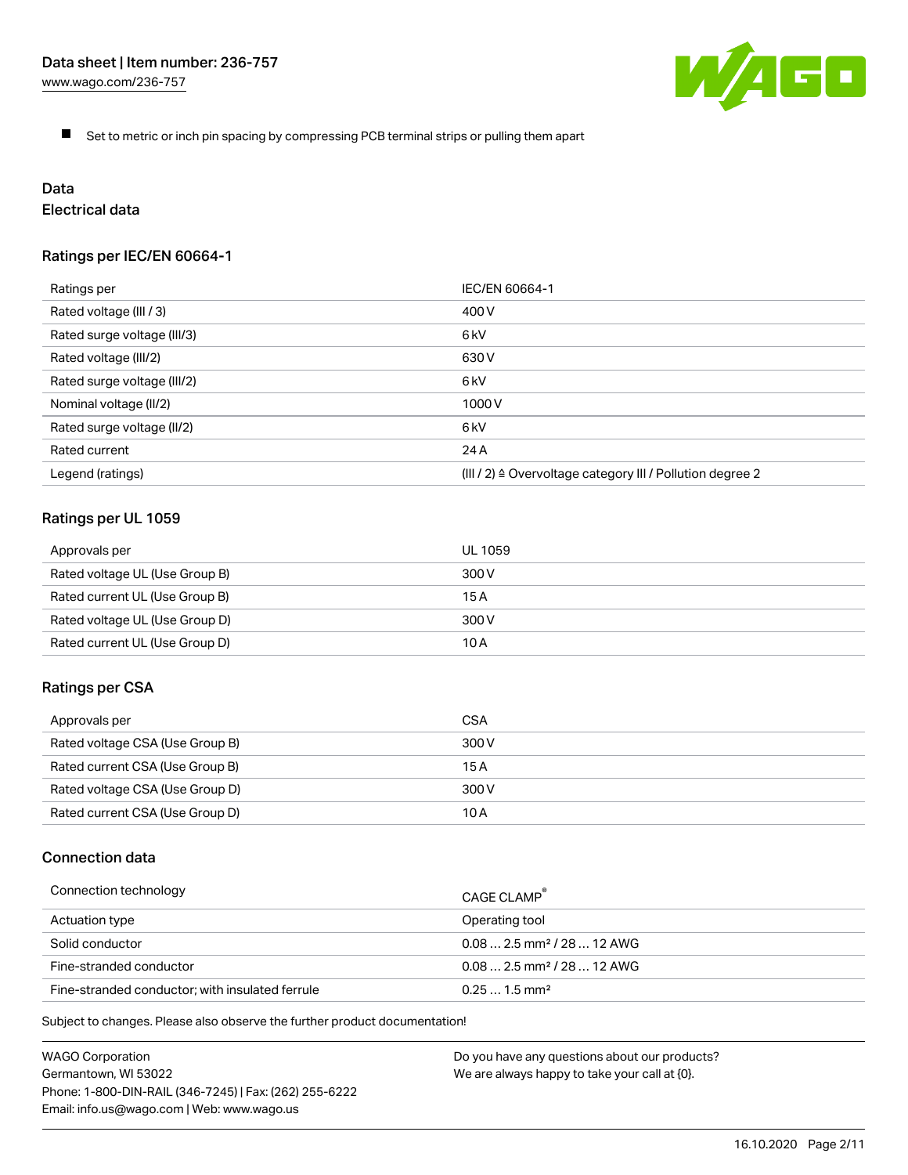

 $\blacksquare$ Set to metric or inch pin spacing by compressing PCB terminal strips or pulling them apart

# Data

# Electrical data

## Ratings per IEC/EN 60664-1

| Ratings per                 | IEC/EN 60664-1                                                        |
|-----------------------------|-----------------------------------------------------------------------|
| Rated voltage (III / 3)     | 400 V                                                                 |
| Rated surge voltage (III/3) | 6kV                                                                   |
| Rated voltage (III/2)       | 630 V                                                                 |
| Rated surge voltage (III/2) | 6 <sub>kV</sub>                                                       |
| Nominal voltage (II/2)      | 1000 V                                                                |
| Rated surge voltage (II/2)  | 6 <sub>kV</sub>                                                       |
| Rated current               | 24 A                                                                  |
| Legend (ratings)            | $(III / 2)$ $\triangle$ Overvoltage category III / Pollution degree 2 |

## Ratings per UL 1059

| Approvals per                  | UL 1059 |
|--------------------------------|---------|
| Rated voltage UL (Use Group B) | 300 V   |
| Rated current UL (Use Group B) | 15 A    |
| Rated voltage UL (Use Group D) | 300 V   |
| Rated current UL (Use Group D) | 10 A    |

#### Ratings per CSA

| Approvals per                   | CSA   |
|---------------------------------|-------|
| Rated voltage CSA (Use Group B) | 300 V |
| Rated current CSA (Use Group B) | 15 A  |
| Rated voltage CSA (Use Group D) | 300 V |
| Rated current CSA (Use Group D) | 10 A  |

## Connection data

| Connection technology                           | CAGE CLAMP                              |
|-------------------------------------------------|-----------------------------------------|
| Actuation type                                  | Operating tool                          |
| Solid conductor                                 | $0.08$ 2.5 mm <sup>2</sup> / 28  12 AWG |
| Fine-stranded conductor                         | $0.082.5$ mm <sup>2</sup> / 28  12 AWG  |
| Fine-stranded conductor; with insulated ferrule | $0.251.5$ mm <sup>2</sup>               |

Subject to changes. Please also observe the further product documentation!

WAGO Corporation Germantown, WI 53022 Phone: 1-800-DIN-RAIL (346-7245) | Fax: (262) 255-6222 Email: info.us@wago.com | Web: www.wago.us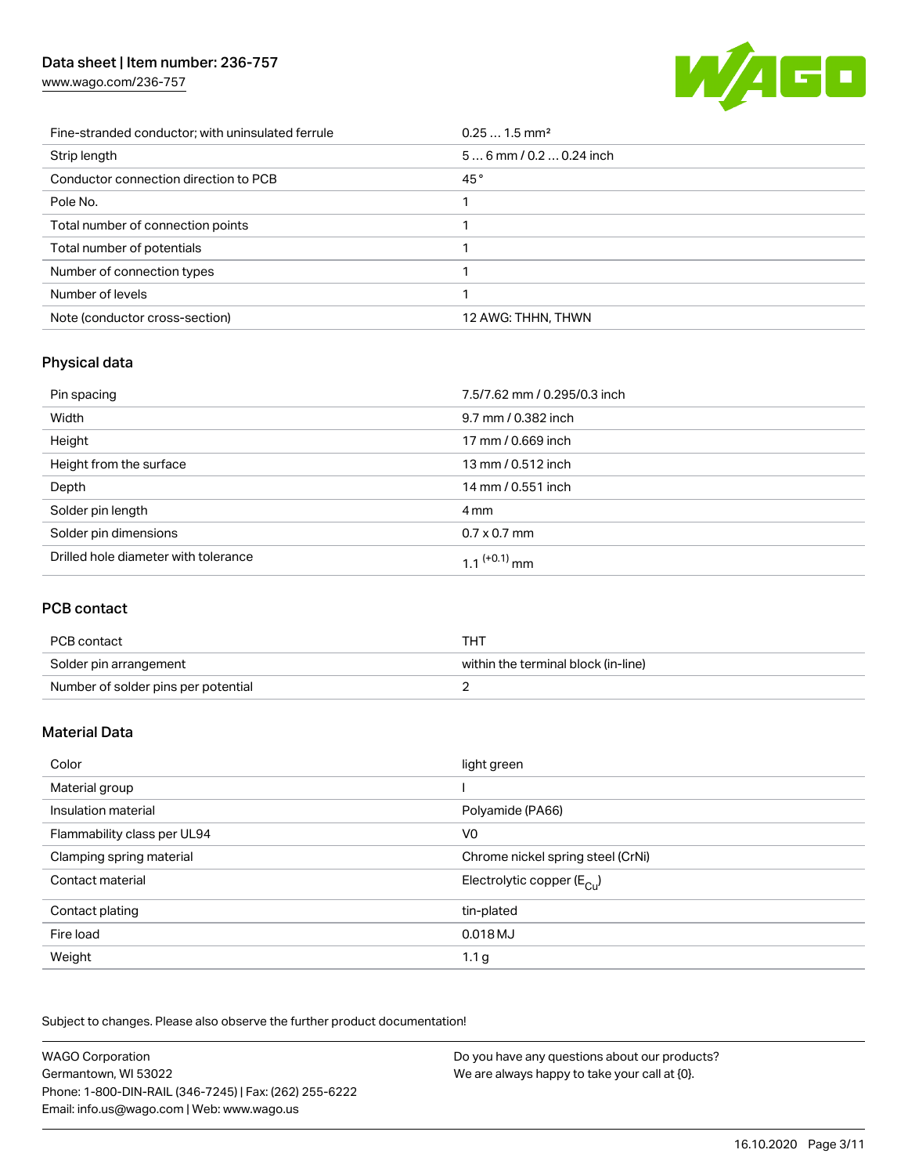# Data sheet | Item number: 236-757

[www.wago.com/236-757](http://www.wago.com/236-757)



| Fine-stranded conductor; with uninsulated ferrule | $0.251.5$ mm <sup>2</sup> |
|---------------------------------------------------|---------------------------|
| Strip length                                      | $56$ mm / 0.2  0.24 inch  |
| Conductor connection direction to PCB             | 45°                       |
| Pole No.                                          |                           |
| Total number of connection points                 |                           |
| Total number of potentials                        |                           |
| Number of connection types                        |                           |
| Number of levels                                  |                           |
| Note (conductor cross-section)                    | 12 AWG: THHN, THWN        |

# Physical data

| Pin spacing                          | 7.5/7.62 mm / 0.295/0.3 inch |
|--------------------------------------|------------------------------|
| Width                                | 9.7 mm / 0.382 inch          |
| Height                               | 17 mm / 0.669 inch           |
| Height from the surface              | 13 mm / 0.512 inch           |
| Depth                                | 14 mm / 0.551 inch           |
| Solder pin length                    | 4 mm                         |
| Solder pin dimensions                | $0.7 \times 0.7$ mm          |
| Drilled hole diameter with tolerance | 1.1 <sup>(+0.1)</sup> mm     |

# PCB contact

| PCB contact                         | тнт                                 |
|-------------------------------------|-------------------------------------|
| Solder pin arrangement              | within the terminal block (in-line) |
| Number of solder pins per potential |                                     |

# Material Data

| Color                       | light green                           |
|-----------------------------|---------------------------------------|
| Material group              |                                       |
| Insulation material         | Polyamide (PA66)                      |
| Flammability class per UL94 | V <sub>0</sub>                        |
| Clamping spring material    | Chrome nickel spring steel (CrNi)     |
| Contact material            | Electrolytic copper $(E_{\text{Cl}})$ |
| Contact plating             | tin-plated                            |
| Fire load                   | 0.018 MJ                              |
| Weight                      | 1.1 <sub>g</sub>                      |

Subject to changes. Please also observe the further product documentation!

| <b>WAGO Corporation</b>                                | Do you have any questions about our products? |
|--------------------------------------------------------|-----------------------------------------------|
| Germantown, WI 53022                                   | We are always happy to take your call at {0}. |
| Phone: 1-800-DIN-RAIL (346-7245)   Fax: (262) 255-6222 |                                               |
| Email: info.us@wago.com   Web: www.wago.us             |                                               |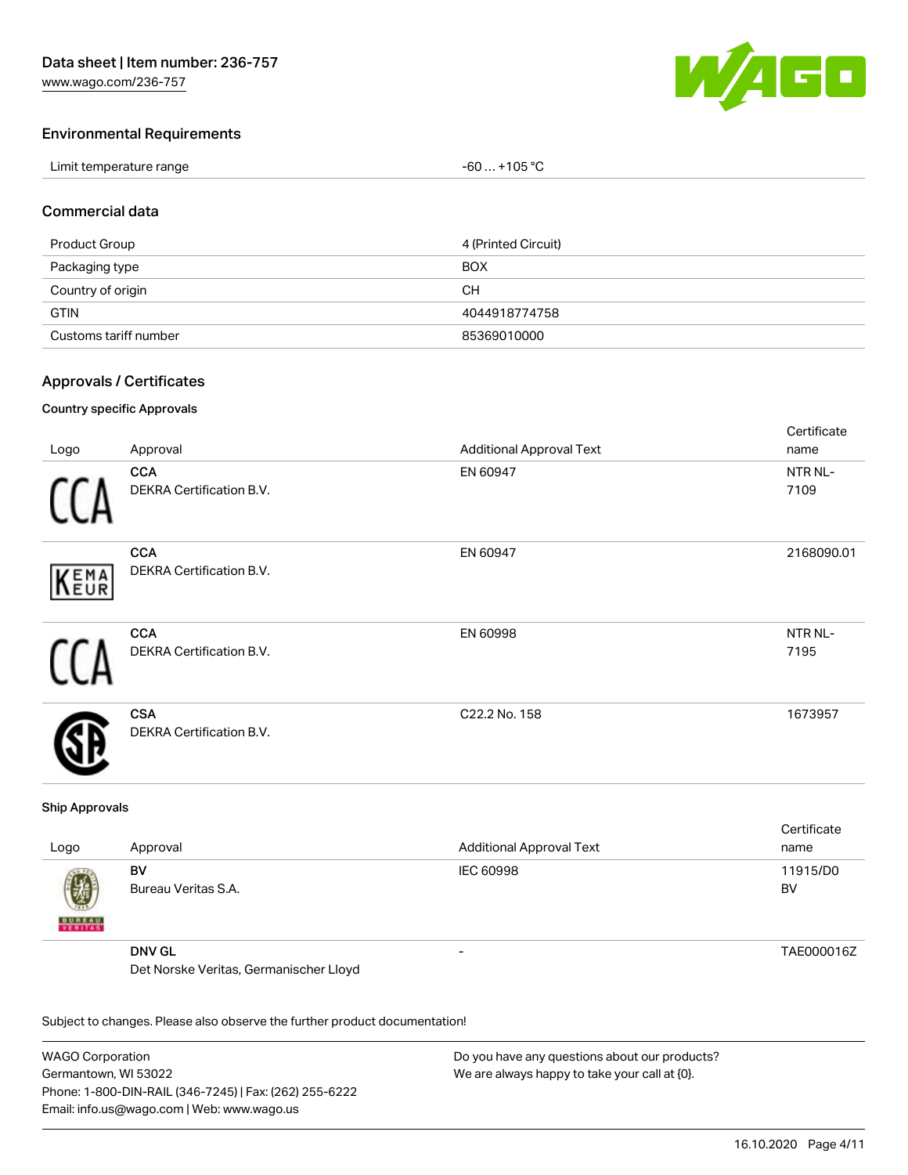

### Environmental Requirements

| Limit temperature range | $-60+105 °C$ |
|-------------------------|--------------|
|-------------------------|--------------|

#### Commercial data

| Product Group         | 4 (Printed Circuit) |
|-----------------------|---------------------|
| Packaging type        | <b>BOX</b>          |
| Country of origin     | CН                  |
| <b>GTIN</b>           | 4044918774758       |
| Customs tariff number | 85369010000         |

## Approvals / Certificates

#### Country specific Approvals

| Logo | Approval                                      | <b>Additional Approval Text</b> | Certificate<br>name |
|------|-----------------------------------------------|---------------------------------|---------------------|
|      | <b>CCA</b><br>DEKRA Certification B.V.        | EN 60947                        | NTR NL-<br>7109     |
| KEMA | <b>CCA</b><br>DEKRA Certification B.V.        | EN 60947                        | 2168090.01          |
|      | <b>CCA</b><br><b>DEKRA Certification B.V.</b> | EN 60998                        | NTR NL-<br>7195     |
|      | <b>CSA</b><br><b>DEKRA Certification B.V.</b> | C22.2 No. 158                   | 1673957             |

#### Ship Approvals

| Logo               | Approval                               | <b>Additional Approval Text</b> | Certificate<br>name |
|--------------------|----------------------------------------|---------------------------------|---------------------|
| 嚩<br><b>BUREAU</b> | BV<br>Bureau Veritas S.A.              | IEC 60998                       | 11915/D0<br>BV      |
|                    | <b>DNV GL</b>                          | -                               | TAE000016Z          |
|                    | Det Norske Veritas, Germanischer Lloyd |                                 |                     |

Subject to changes. Please also observe the further product documentation!

WAGO Corporation Germantown, WI 53022 Phone: 1-800-DIN-RAIL (346-7245) | Fax: (262) 255-6222 Email: info.us@wago.com | Web: www.wago.us Do you have any questions about our products? We are always happy to take your call at {0}.

16.10.2020 Page 4/11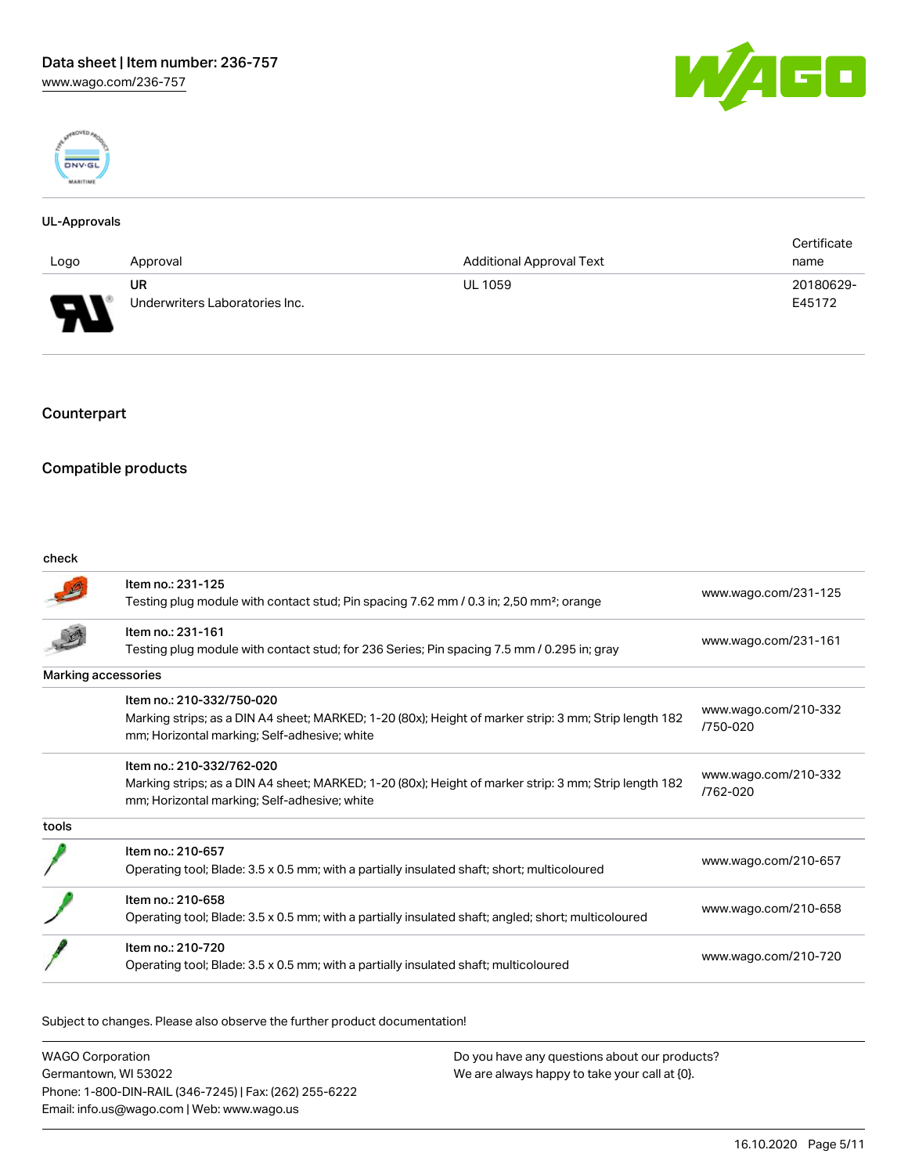



#### UL-Approvals

|                                                                |                                |                                 | Certificate |
|----------------------------------------------------------------|--------------------------------|---------------------------------|-------------|
| Logo                                                           | Approval                       | <b>Additional Approval Text</b> | name        |
|                                                                | <b>UR</b>                      | <b>UL 1059</b>                  | 20180629-   |
| $\Box$<br>$\overline{\phantom{a}}$<br>$\overline{\phantom{a}}$ | Underwriters Laboratories Inc. |                                 | E45172      |

## Counterpart

# Compatible products

#### check

|       | Item no.: 231-125<br>Testing plug module with contact stud; Pin spacing 7.62 mm / 0.3 in; 2,50 mm <sup>2</sup> ; orange                                                            | www.wago.com/231-125             |
|-------|------------------------------------------------------------------------------------------------------------------------------------------------------------------------------------|----------------------------------|
|       | Item no.: 231-161<br>Testing plug module with contact stud; for 236 Series; Pin spacing 7.5 mm / 0.295 in; gray                                                                    | www.wago.com/231-161             |
|       | Marking accessories                                                                                                                                                                |                                  |
|       | Item no.: 210-332/750-020<br>Marking strips; as a DIN A4 sheet; MARKED; 1-20 (80x); Height of marker strip: 3 mm; Strip length 182<br>mm; Horizontal marking; Self-adhesive; white | www.wago.com/210-332<br>/750-020 |
|       | Item no.: 210-332/762-020<br>Marking strips; as a DIN A4 sheet; MARKED; 1-20 (80x); Height of marker strip: 3 mm; Strip length 182<br>mm; Horizontal marking; Self-adhesive; white | www.wago.com/210-332<br>/762-020 |
| tools |                                                                                                                                                                                    |                                  |
|       | Item no.: 210-657<br>Operating tool; Blade: 3.5 x 0.5 mm; with a partially insulated shaft; short; multicoloured                                                                   | www.wago.com/210-657             |
|       | Item no.: 210-658<br>Operating tool; Blade: 3.5 x 0.5 mm; with a partially insulated shaft; angled; short; multicoloured                                                           | www.wago.com/210-658             |
|       | Item no.: 210-720<br>Operating tool; Blade: 3.5 x 0.5 mm; with a partially insulated shaft; multicoloured                                                                          | www.wago.com/210-720             |
|       |                                                                                                                                                                                    |                                  |

Subject to changes. Please also observe the further product documentation!

| <b>WAGO Corporation</b>                                | Do you have any questions about our products? |
|--------------------------------------------------------|-----------------------------------------------|
| Germantown, WI 53022                                   | We are always happy to take your call at {0}. |
| Phone: 1-800-DIN-RAIL (346-7245)   Fax: (262) 255-6222 |                                               |
| Email: info.us@wago.com   Web: www.wago.us             |                                               |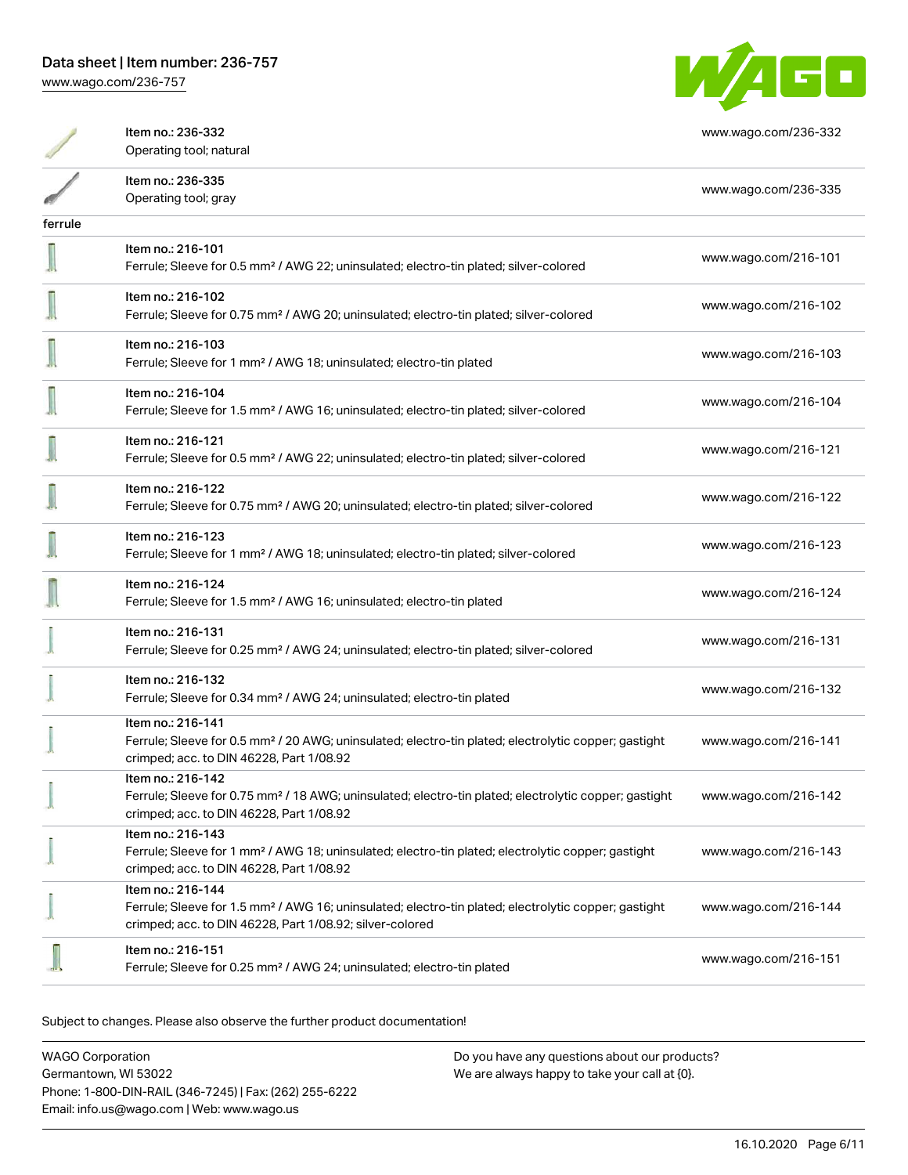WAGO

|         | Item no.: 236-332<br>Operating tool; natural                                                                                                                                                      | www.wago.com/236-332 |
|---------|---------------------------------------------------------------------------------------------------------------------------------------------------------------------------------------------------|----------------------|
|         | Item no.: 236-335<br>Operating tool; gray                                                                                                                                                         | www.wago.com/236-335 |
| ferrule |                                                                                                                                                                                                   |                      |
|         | Item no.: 216-101<br>Ferrule; Sleeve for 0.5 mm <sup>2</sup> / AWG 22; uninsulated; electro-tin plated; silver-colored                                                                            | www.wago.com/216-101 |
|         | Item no.: 216-102<br>Ferrule; Sleeve for 0.75 mm <sup>2</sup> / AWG 20; uninsulated; electro-tin plated; silver-colored                                                                           | www.wago.com/216-102 |
|         | Item no.: 216-103<br>Ferrule; Sleeve for 1 mm <sup>2</sup> / AWG 18; uninsulated; electro-tin plated                                                                                              | www.wago.com/216-103 |
|         | Item no.: 216-104<br>Ferrule; Sleeve for 1.5 mm <sup>2</sup> / AWG 16; uninsulated; electro-tin plated; silver-colored                                                                            | www.wago.com/216-104 |
|         | Item no.: 216-121<br>Ferrule; Sleeve for 0.5 mm <sup>2</sup> / AWG 22; uninsulated; electro-tin plated; silver-colored                                                                            | www.wago.com/216-121 |
|         | Item no.: 216-122<br>Ferrule; Sleeve for 0.75 mm <sup>2</sup> / AWG 20; uninsulated; electro-tin plated; silver-colored                                                                           | www.wago.com/216-122 |
|         | Item no.: 216-123<br>Ferrule; Sleeve for 1 mm <sup>2</sup> / AWG 18; uninsulated; electro-tin plated; silver-colored                                                                              | www.wago.com/216-123 |
|         | Item no.: 216-124<br>Ferrule; Sleeve for 1.5 mm <sup>2</sup> / AWG 16; uninsulated; electro-tin plated                                                                                            | www.wago.com/216-124 |
|         | Item no.: 216-131<br>Ferrule; Sleeve for 0.25 mm <sup>2</sup> / AWG 24; uninsulated; electro-tin plated; silver-colored                                                                           | www.wago.com/216-131 |
|         | Item no.: 216-132<br>Ferrule; Sleeve for 0.34 mm <sup>2</sup> / AWG 24; uninsulated; electro-tin plated                                                                                           | www.wago.com/216-132 |
|         | Item no.: 216-141<br>Ferrule; Sleeve for 0.5 mm <sup>2</sup> / 20 AWG; uninsulated; electro-tin plated; electrolytic copper; gastight<br>crimped; acc. to DIN 46228, Part 1/08.92                 | www.wago.com/216-141 |
|         | Item no.: 216-142<br>Ferrule; Sleeve for 0.75 mm <sup>2</sup> / 18 AWG; uninsulated; electro-tin plated; electrolytic copper; gastight<br>crimped; acc. to DIN 46228, Part 1/08.92                | www.wago.com/216-142 |
|         | Item no.: 216-143<br>Ferrule; Sleeve for 1 mm <sup>2</sup> / AWG 18; uninsulated; electro-tin plated; electrolytic copper; gastight<br>crimped; acc. to DIN 46228, Part 1/08.92                   | www.wago.com/216-143 |
|         | Item no.: 216-144<br>Ferrule; Sleeve for 1.5 mm <sup>2</sup> / AWG 16; uninsulated; electro-tin plated; electrolytic copper; gastight<br>crimped; acc. to DIN 46228, Part 1/08.92; silver-colored | www.wago.com/216-144 |
|         | Item no.: 216-151<br>Ferrule; Sleeve for 0.25 mm <sup>2</sup> / AWG 24; uninsulated; electro-tin plated                                                                                           | www.wago.com/216-151 |

Subject to changes. Please also observe the further product documentation!

WAGO Corporation Germantown, WI 53022 Phone: 1-800-DIN-RAIL (346-7245) | Fax: (262) 255-6222 Email: info.us@wago.com | Web: www.wago.us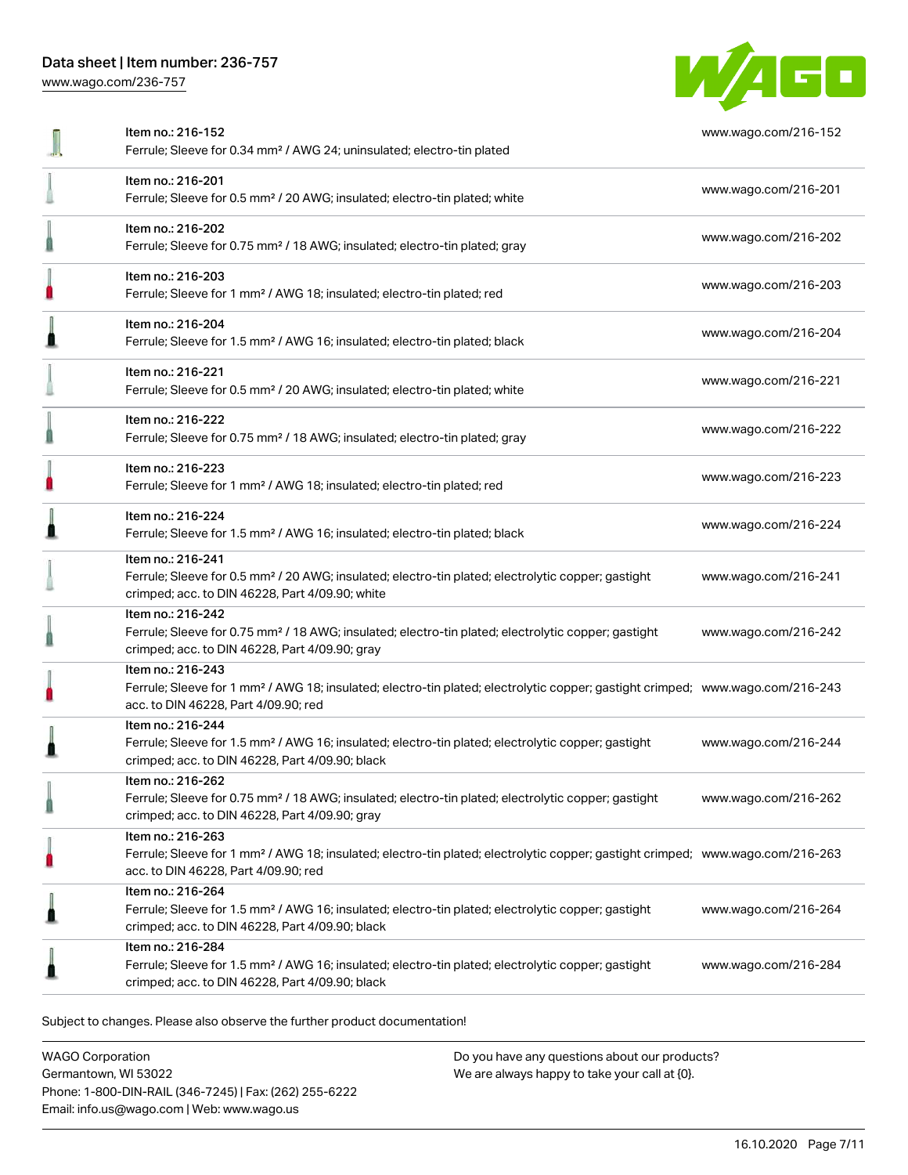# Data sheet | Item number: 236-757

[www.wago.com/236-757](http://www.wago.com/236-757)



| Item no.: 216-152<br>Ferrule; Sleeve for 0.34 mm <sup>2</sup> / AWG 24; uninsulated; electro-tin plated                                                                                                 | www.wago.com/216-152 |
|---------------------------------------------------------------------------------------------------------------------------------------------------------------------------------------------------------|----------------------|
| Item no.: 216-201<br>Ferrule; Sleeve for 0.5 mm <sup>2</sup> / 20 AWG; insulated; electro-tin plated; white                                                                                             | www.wago.com/216-201 |
| Item no.: 216-202<br>Ferrule; Sleeve for 0.75 mm <sup>2</sup> / 18 AWG; insulated; electro-tin plated; gray                                                                                             | www.wago.com/216-202 |
| Item no.: 216-203<br>Ferrule; Sleeve for 1 mm <sup>2</sup> / AWG 18; insulated; electro-tin plated; red                                                                                                 | www.wago.com/216-203 |
| Item no.: 216-204<br>Ferrule; Sleeve for 1.5 mm <sup>2</sup> / AWG 16; insulated; electro-tin plated; black                                                                                             | www.wago.com/216-204 |
| Item no.: 216-221<br>Ferrule; Sleeve for 0.5 mm <sup>2</sup> / 20 AWG; insulated; electro-tin plated; white                                                                                             | www.wago.com/216-221 |
| Item no.: 216-222<br>Ferrule; Sleeve for 0.75 mm <sup>2</sup> / 18 AWG; insulated; electro-tin plated; gray                                                                                             | www.wago.com/216-222 |
| Item no.: 216-223<br>Ferrule; Sleeve for 1 mm <sup>2</sup> / AWG 18; insulated; electro-tin plated; red                                                                                                 | www.wago.com/216-223 |
| Item no.: 216-224<br>Ferrule; Sleeve for 1.5 mm <sup>2</sup> / AWG 16; insulated; electro-tin plated; black                                                                                             | www.wago.com/216-224 |
| Item no.: 216-241<br>Ferrule; Sleeve for 0.5 mm <sup>2</sup> / 20 AWG; insulated; electro-tin plated; electrolytic copper; gastight<br>crimped; acc. to DIN 46228, Part 4/09.90; white                  | www.wago.com/216-241 |
| Item no.: 216-242<br>Ferrule; Sleeve for 0.75 mm <sup>2</sup> / 18 AWG; insulated; electro-tin plated; electrolytic copper; gastight<br>crimped; acc. to DIN 46228, Part 4/09.90; gray                  | www.wago.com/216-242 |
| Item no.: 216-243<br>Ferrule; Sleeve for 1 mm <sup>2</sup> / AWG 18; insulated; electro-tin plated; electrolytic copper; gastight crimped; www.wago.com/216-243<br>acc. to DIN 46228, Part 4/09.90; red |                      |
| Item no.: 216-244<br>Ferrule; Sleeve for 1.5 mm <sup>2</sup> / AWG 16; insulated; electro-tin plated; electrolytic copper; gastight<br>crimped; acc. to DIN 46228, Part 4/09.90; black                  | www.wago.com/216-244 |
| Item no.: 216-262<br>Ferrule; Sleeve for 0.75 mm <sup>2</sup> / 18 AWG; insulated; electro-tin plated; electrolytic copper; gastight<br>crimped; acc. to DIN 46228, Part 4/09.90; gray                  | www.wago.com/216-262 |
| Item no.: 216-263<br>Ferrule; Sleeve for 1 mm <sup>2</sup> / AWG 18; insulated; electro-tin plated; electrolytic copper; gastight crimped; www.wago.com/216-263<br>acc. to DIN 46228, Part 4/09.90; red |                      |
| Item no.: 216-264<br>Ferrule; Sleeve for 1.5 mm <sup>2</sup> / AWG 16; insulated; electro-tin plated; electrolytic copper; gastight<br>crimped; acc. to DIN 46228, Part 4/09.90; black                  | www.wago.com/216-264 |
| Item no.: 216-284<br>Ferrule; Sleeve for 1.5 mm <sup>2</sup> / AWG 16; insulated; electro-tin plated; electrolytic copper; gastight<br>crimped; acc. to DIN 46228, Part 4/09.90; black                  | www.wago.com/216-284 |
|                                                                                                                                                                                                         |                      |

Subject to changes. Please also observe the further product documentation!

WAGO Corporation Germantown, WI 53022 Phone: 1-800-DIN-RAIL (346-7245) | Fax: (262) 255-6222 Email: info.us@wago.com | Web: www.wago.us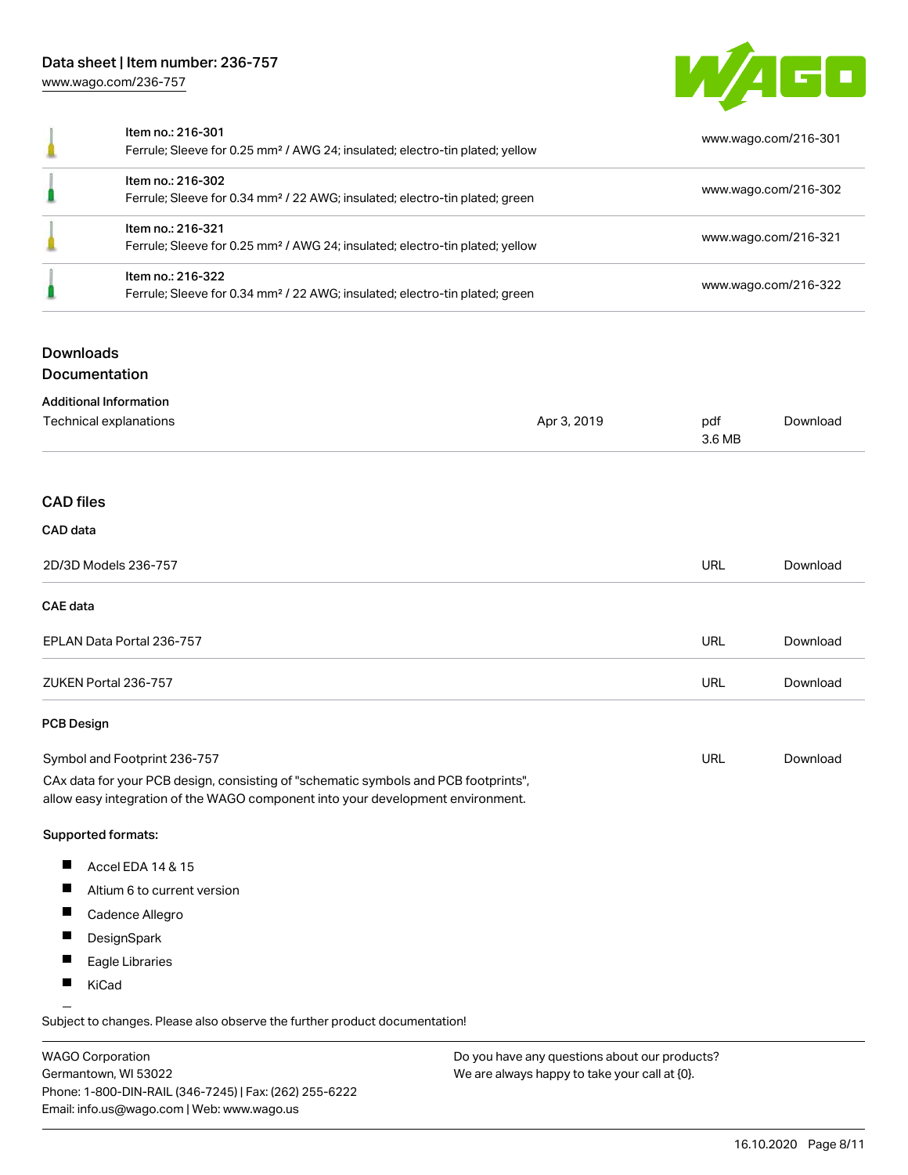# Data sheet | Item number: 236-757 [www.wago.com/236-757](http://www.wago.com/236-757)



| Item no.: 216-301<br>Ferrule; Sleeve for 0.25 mm <sup>2</sup> / AWG 24; insulated; electro-tin plated; yellow | www.wago.com/216-301 |
|---------------------------------------------------------------------------------------------------------------|----------------------|
| Item no.: 216-302<br>Ferrule; Sleeve for 0.34 mm <sup>2</sup> / 22 AWG; insulated; electro-tin plated; green  | www.wago.com/216-302 |
| Item no.: 216-321<br>Ferrule; Sleeve for 0.25 mm <sup>2</sup> / AWG 24; insulated; electro-tin plated; yellow | www.wago.com/216-321 |
| Item no.: 216-322<br>Ferrule; Sleeve for 0.34 mm <sup>2</sup> / 22 AWG; insulated; electro-tin plated; green  | www.wago.com/216-322 |

# **Downloads**

Documentation

| <b>Additional Information</b>                                                                                                                                          |             |               |          |
|------------------------------------------------------------------------------------------------------------------------------------------------------------------------|-------------|---------------|----------|
| Technical explanations                                                                                                                                                 | Apr 3, 2019 | pdf<br>3.6 MB | Download |
|                                                                                                                                                                        |             |               |          |
| <b>CAD files</b>                                                                                                                                                       |             |               |          |
| CAD data                                                                                                                                                               |             |               |          |
| 2D/3D Models 236-757                                                                                                                                                   |             | <b>URL</b>    | Download |
| CAE data                                                                                                                                                               |             |               |          |
| EPLAN Data Portal 236-757                                                                                                                                              |             | <b>URL</b>    | Download |
| ZUKEN Portal 236-757                                                                                                                                                   |             | <b>URL</b>    | Download |
| <b>PCB Design</b>                                                                                                                                                      |             |               |          |
| Symbol and Footprint 236-757                                                                                                                                           |             | <b>URL</b>    | Download |
| CAx data for your PCB design, consisting of "schematic symbols and PCB footprints",<br>allow easy integration of the WAGO component into your development environment. |             |               |          |

#### Supported formats:

- $\blacksquare$ Accel EDA 14 & 15
- $\blacksquare$ Altium 6 to current version
- $\blacksquare$ Cadence Allegro
- $\blacksquare$ **DesignSpark**
- $\blacksquare$ Eagle Libraries
- $\blacksquare$ KiCad

Subject to changes. Please also observe the further product documentation!

WAGO Corporation Germantown, WI 53022 Phone: 1-800-DIN-RAIL (346-7245) | Fax: (262) 255-6222 Email: info.us@wago.com | Web: www.wago.us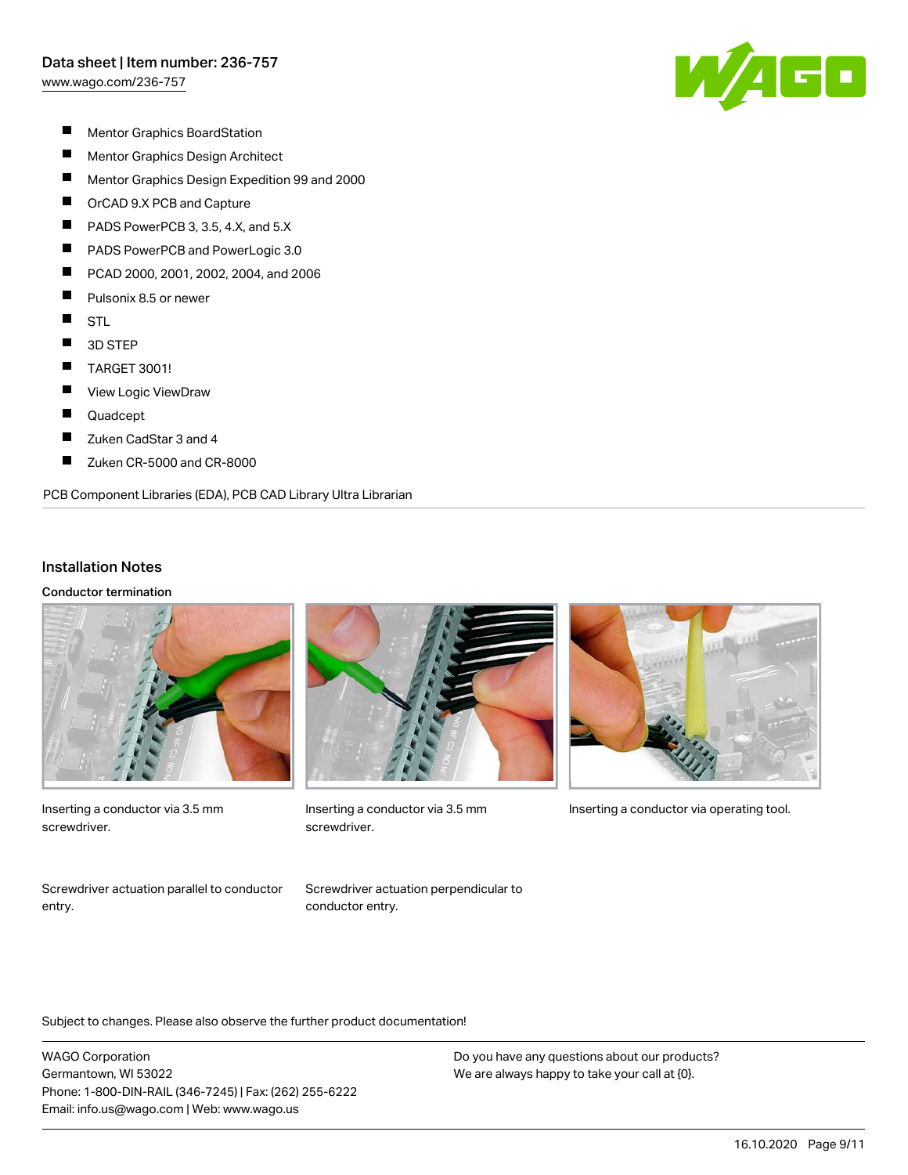

- $\blacksquare$ Mentor Graphics BoardStation
- $\blacksquare$ Mentor Graphics Design Architect
- $\blacksquare$ Mentor Graphics Design Expedition 99 and 2000
- $\blacksquare$ OrCAD 9.X PCB and Capture
- П PADS PowerPCB 3, 3.5, 4.X, and 5.X
- П PADS PowerPCB and PowerLogic 3.0
- $\blacksquare$ PCAD 2000, 2001, 2002, 2004, and 2006
- $\blacksquare$ Pulsonix 8.5 or newer
- $\blacksquare$ **STL**
- $\blacksquare$ 3D STEP
- $\blacksquare$ TARGET 3001!
- П View Logic ViewDraw
- $\blacksquare$ Quadcept
- $\blacksquare$ Zuken CadStar 3 and 4
- П Zuken CR-5000 and CR-8000

#### PCB Component Libraries (EDA), PCB CAD Library Ultra Librarian

#### Installation Notes

Conductor termination



Inserting a conductor via 3.5 mm screwdriver.



screwdriver.



Inserting a conductor via 3.5 mm Inserting a conductor via operating tool.

Screwdriver actuation parallel to conductor entry.

Screwdriver actuation perpendicular to conductor entry.

Subject to changes. Please also observe the further product documentation!

WAGO Corporation Germantown, WI 53022 Phone: 1-800-DIN-RAIL (346-7245) | Fax: (262) 255-6222 Email: info.us@wago.com | Web: www.wago.us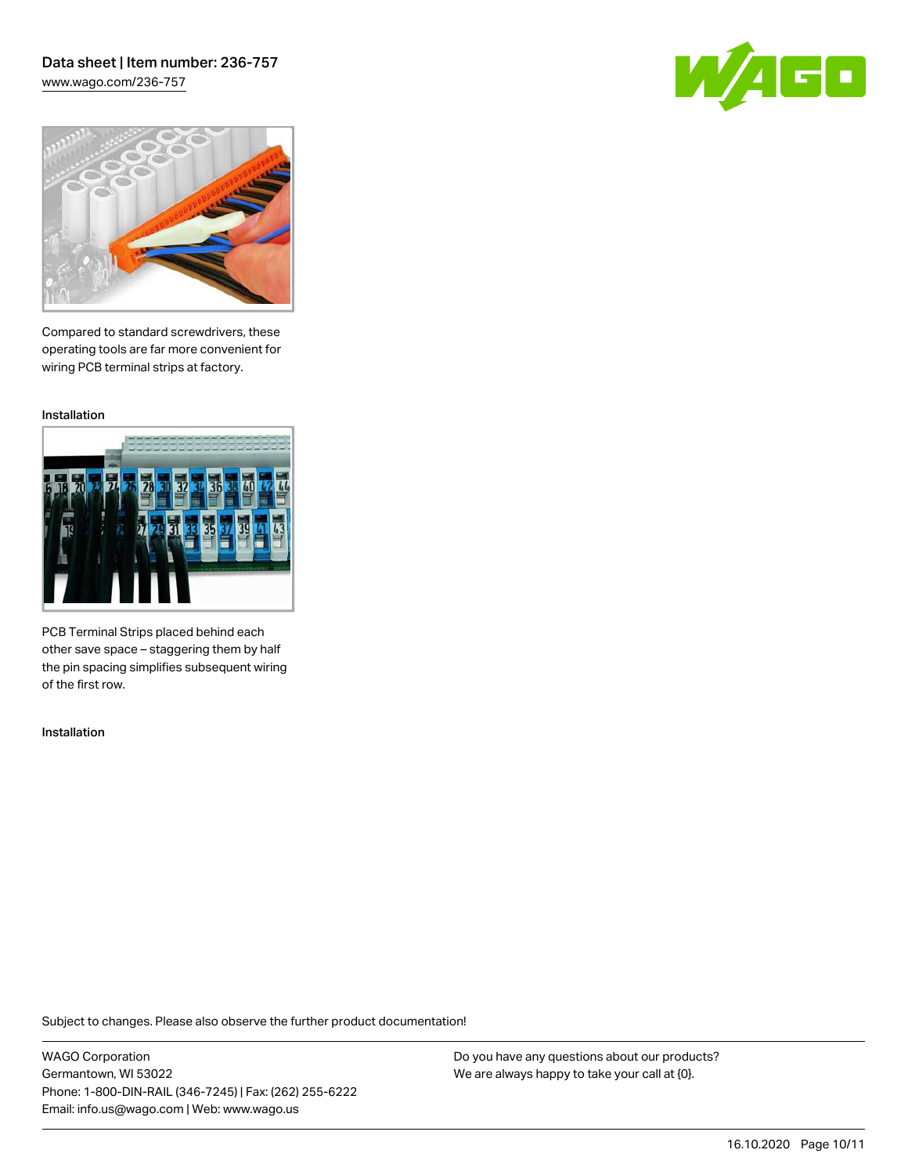## Data sheet | Item number: 236-757 [www.wago.com/236-757](http://www.wago.com/236-757)





Compared to standard screwdrivers, these operating tools are far more convenient for wiring PCB terminal strips at factory.

Installation



PCB Terminal Strips placed behind each other save space – staggering them by half the pin spacing simplifies subsequent wiring of the first row.

Installation

Subject to changes. Please also observe the further product documentation!

WAGO Corporation Germantown, WI 53022 Phone: 1-800-DIN-RAIL (346-7245) | Fax: (262) 255-6222 Email: info.us@wago.com | Web: www.wago.us